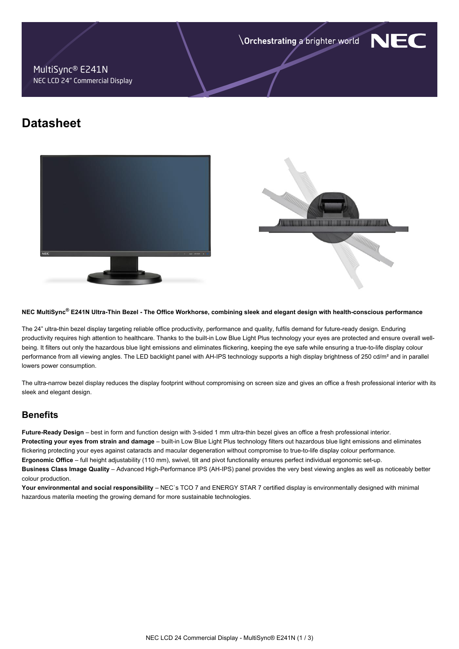Orchestrating a brighter world

NF

## MultiSync® E241N NEC LCD 24" Commercial Display

# **Datasheet**





#### **NEC MultiSync® E241N Ultra-Thin Bezel - The Office Workhorse, combining sleek and elegant design with health-conscious performance**

The 24" ultra-thin bezel display targeting reliable office productivity, performance and quality, fulfils demand for future-ready design. Enduring productivity requires high attention to healthcare. Thanks to the built-in Low Blue Light Plus technology your eyes are protected and ensure overall wellbeing. It filters out only the hazardous blue light emissions and eliminates flickering, keeping the eye safe while ensuring a true-to-life display colour performance from all viewing angles. The LED backlight panel with AH-IPS technology supports a high display brightness of 250 cd/m<sup>2</sup> and in parallel lowers power consumption.

The ultra-narrow bezel display reduces the display footprint without compromising on screen size and gives an office a fresh professional interior with its sleek and elegant design.

# **Benefits**

**Future-Ready Design** – best in form and function design with 3-sided 1 mm ultra-thin bezel gives an office a fresh professional interior. **Protecting your eyes from strain and damage** – built-in Low Blue Light Plus technology filters out hazardous blue light emissions and eliminates flickering protecting your eyes against cataracts and macular degeneration without compromise to true-to-life display colour performance. **Ergonomic Office** – full height adjustability (110 mm), swivel, tilt and pivot functionality ensures perfect individual ergonomic set-up. **Business Class Image Quality** – Advanced High-Performance IPS (AH-IPS) panel provides the very best viewing angles as well as noticeably better colour production.

**Your environmental and social responsibility** – NEC`s TCO 7 and ENERGY STAR 7 certified display is environmentally designed with minimal hazardous materila meeting the growing demand for more sustainable technologies.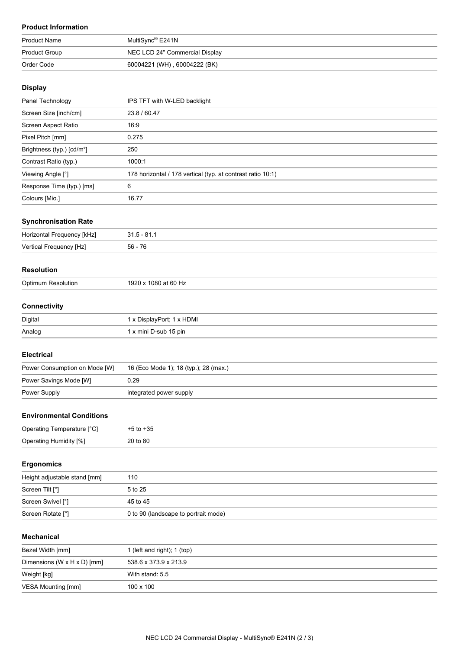# **Product Information**

| <b>Product Name</b>  | MultiSync® E241N               |
|----------------------|--------------------------------|
| <b>Product Group</b> | NEC LCD 24" Commercial Display |
| Order Code           | 60004221 (WH), 60004222 (BK)   |

## **Display**

| Panel Technology                       | IPS TFT with W-LED backlight                                |
|----------------------------------------|-------------------------------------------------------------|
| Screen Size [inch/cm]                  | 23.8 / 60.47                                                |
| Screen Aspect Ratio                    | 16:9                                                        |
| Pixel Pitch [mm]                       | 0.275                                                       |
| Brightness (typ.) [cd/m <sup>2</sup> ] | 250                                                         |
| Contrast Ratio (typ.)                  | 1000:1                                                      |
| Viewing Angle [°]                      | 178 horizontal / 178 vertical (typ. at contrast ratio 10:1) |
| Response Time (typ.) [ms]              | 6                                                           |
| Colours [Mio.]                         | 16.77                                                       |

### **Synchronisation Rate**

| Horizontal Frequency [kHz] | .81.      |
|----------------------------|-----------|
| Vertical Frequency [Hz]    | $56 - 76$ |

#### **Resolution**

| ∩ntin.<br>זו וור<br>. | . |
|-----------------------|---|
|                       |   |

## **Connectivity**

| Digital | x DisplayPort; 1 x HDMI |
|---------|-------------------------|
| Analog  | x mini D-sub 15 pin     |

#### **Electrical**

| Power Consumption on Mode [W] | 16 (Eco Mode 1); 18 (typ.); 28 (max.) |
|-------------------------------|---------------------------------------|
| Power Savings Mode [W]        | ა.29                                  |
| Power Supply                  | integrated power supply               |

#### **Environmental Conditions**

| Operating Temperature [°C]    | $+5$ to $+35$ |
|-------------------------------|---------------|
| <b>Operating Humidity [%]</b> | 20 to 80      |

## **Ergonomics**

| Height adjustable stand [mm] | 110                                  |
|------------------------------|--------------------------------------|
| Screen Tilt [°]              | 5 to 25                              |
| Screen Swivel [°]            | 45 to 45                             |
| Screen Rotate [°]            | 0 to 90 (landscape to portrait mode) |

# **Mechanical**

| Bezel Width [mm]                          | 1 (left and right); 1 (top) |
|-------------------------------------------|-----------------------------|
| Dimensions (W $\times$ H $\times$ D) [mm] | 538.6 x 373.9 x 213.9       |
| Weight [kg]                               | With stand: 5.5             |
| VESA Mounting [mm]                        | $100 \times 100$            |